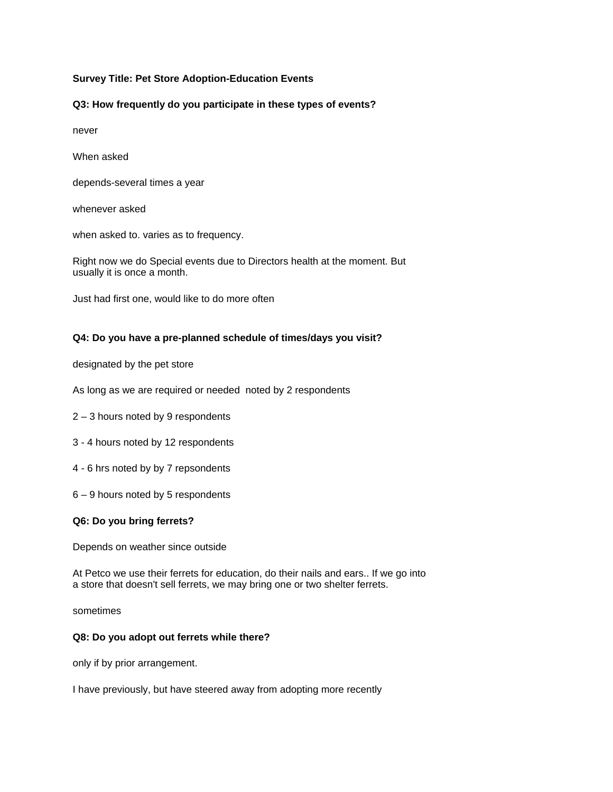## **Survey Title: Pet Store Adoption-Education Events**

### **Q3: How frequently do you participate in these types of events?**

never

When asked

depends-several times a year

whenever asked

when asked to. varies as to frequency.

Right now we do Special events due to Directors health at the moment. But usually it is once a month.

Just had first one, would like to do more often

#### **Q4: Do you have a pre-planned schedule of times/days you visit?**

designated by the pet store

As long as we are required or needed noted by 2 respondents

2 – 3 hours noted by 9 respondents

- 3 4 hours noted by 12 respondents
- 4 6 hrs noted by by 7 repsondents
- 6 9 hours noted by 5 respondents

#### **Q6: Do you bring ferrets?**

Depends on weather since outside

At Petco we use their ferrets for education, do their nails and ears.. If we go into a store that doesn't sell ferrets, we may bring one or two shelter ferrets.

sometimes

#### **Q8: Do you adopt out ferrets while there?**

only if by prior arrangement.

I have previously, but have steered away from adopting more recently